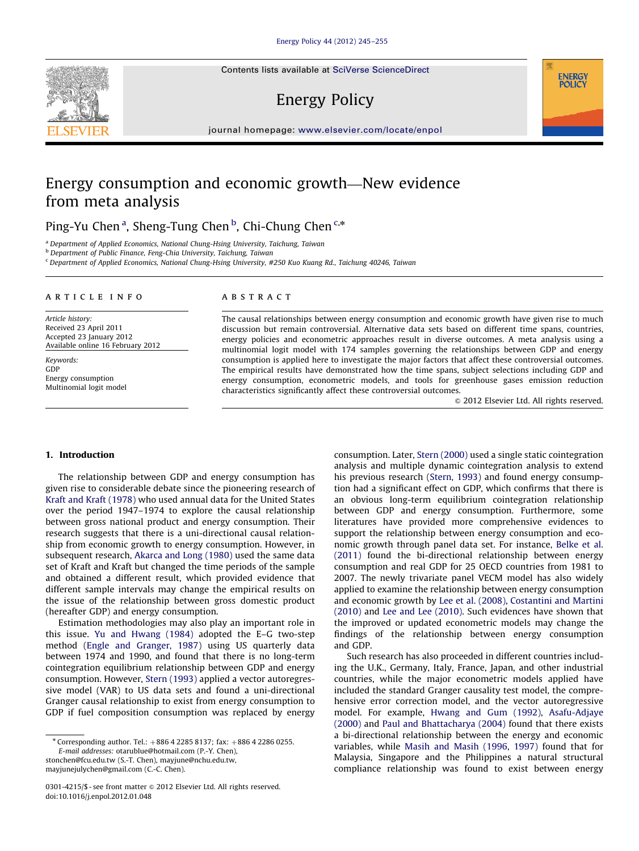Contents lists available at [SciVerse ScienceDirect](www.elsevier.com/locate/enpol)

### Energy Policy

journal homepage: <www.elsevier.com/locate/enpol>

## Energy consumption and economic growth—New evidence from meta analysis

Ping-Yu Chen<sup>a</sup>, Sheng-Tung Chen<sup>b</sup>, Chi-Chung Chen<sup>c,\*</sup>

<sup>a</sup> Department of Applied Economics, National Chung-Hsing University, Taichung, Taiwan

<sup>b</sup> Department of Public Finance, Feng-Chia University, Taichung, Taiwan

<sup>c</sup> Department of Applied Economics, National Chung-Hsing University, #250 Kuo Kuang Rd., Taichung 40246, Taiwan

#### article info

Article history: Received 23 April 2011 Accepted 23 January 2012 Available online 16 February 2012

Keywords: GDP Energy consumption Multinomial logit model

#### **ABSTRACT**

The causal relationships between energy consumption and economic growth have given rise to much discussion but remain controversial. Alternative data sets based on different time spans, countries, energy policies and econometric approaches result in diverse outcomes. A meta analysis using a multinomial logit model with 174 samples governing the relationships between GDP and energy consumption is applied here to investigate the major factors that affect these controversial outcomes. The empirical results have demonstrated how the time spans, subject selections including GDP and energy consumption, econometric models, and tools for greenhouse gases emission reduction characteristics significantly affect these controversial outcomes.

 $\odot$  2012 Elsevier Ltd. All rights reserved.

**ENERGY POLICY** 

#### 1. Introduction

The relationship between GDP and energy consumption has given rise to considerable debate since the pioneering research of [Kraft and Kraft \(1978\)](#page--1-0) who used annual data for the United States over the period 1947–1974 to explore the causal relationship between gross national product and energy consumption. Their research suggests that there is a uni-directional causal relationship from economic growth to energy consumption. However, in subsequent research, [Akarca and Long \(1980\)](#page--1-0) used the same data set of Kraft and Kraft but changed the time periods of the sample and obtained a different result, which provided evidence that different sample intervals may change the empirical results on the issue of the relationship between gross domestic product (hereafter GDP) and energy consumption.

Estimation methodologies may also play an important role in this issue. [Yu and Hwang \(1984\)](#page--1-0) adopted the E–G two-step method ([Engle and Granger, 1987\)](#page--1-0) using US quarterly data between 1974 and 1990, and found that there is no long-term cointegration equilibrium relationship between GDP and energy consumption. However, [Stern \(1993\)](#page--1-0) applied a vector autoregressive model (VAR) to US data sets and found a uni-directional Granger causal relationship to exist from energy consumption to GDP if fuel composition consumption was replaced by energy

[stonchen@fcu.edu.tw \(S.-T. Chen\)](mailto:stonchen@fcu.edu.tw), [mayjune@nchu.edu.tw,](mailto:mayjune@nchu.edu.tw) [mayjunejulychen@gmail.com \(C.-C. Chen\)](mailto:mayjunejulychen@gmail.com).

consumption. Later, [Stern \(2000\)](#page--1-0) used a single static cointegration analysis and multiple dynamic cointegration analysis to extend his previous research ([Stern, 1993\)](#page--1-0) and found energy consumption had a significant effect on GDP, which confirms that there is an obvious long-term equilibrium cointegration relationship between GDP and energy consumption. Furthermore, some literatures have provided more comprehensive evidences to support the relationship between energy consumption and economic growth through panel data set. For instance, [Belke et al.](#page--1-0) [\(2011\)](#page--1-0) found the bi-directional relationship between energy consumption and real GDP for 25 OECD countries from 1981 to 2007. The newly trivariate panel VECM model has also widely applied to examine the relationship between energy consumption and economic growth by [Lee et al. \(2008\)](#page--1-0), [Costantini and Martini](#page--1-0) [\(2010\)](#page--1-0) and [Lee and Lee \(2010\).](#page--1-0) Such evidences have shown that the improved or updated econometric models may change the findings of the relationship between energy consumption and GDP.

Such research has also proceeded in different countries including the U.K., Germany, Italy, France, Japan, and other industrial countries, while the major econometric models applied have included the standard Granger causality test model, the comprehensive error correction model, and the vector autoregressive model. For example, [Hwang and Gum \(1992\)](#page--1-0), [Asafu-Adjaye](#page--1-0) [\(2000\)](#page--1-0) and [Paul and Bhattacharya \(2004\)](#page--1-0) found that there exists a bi-directional relationship between the energy and economic variables, while [Masih and Masih \(1996](#page--1-0), [1997\)](#page--1-0) found that for Malaysia, Singapore and the Philippines a natural structural compliance relationship was found to exist between energy



 $*$  Corresponding author. Tel.:  $+886422858137$ ; fax:  $+886422860255$ . E-mail addresses: [otarublue@hotmail.com \(P.-Y. Chen\)](mailto:otarublue@hotmail.com),

<sup>0301-4215/\$ -</sup> see front matter @ 2012 Elsevier Ltd. All rights reserved. doi:[10.1016/j.enpol.2012.01.048](dx.doi.org/10.1016/j.enpol.2012.01.048)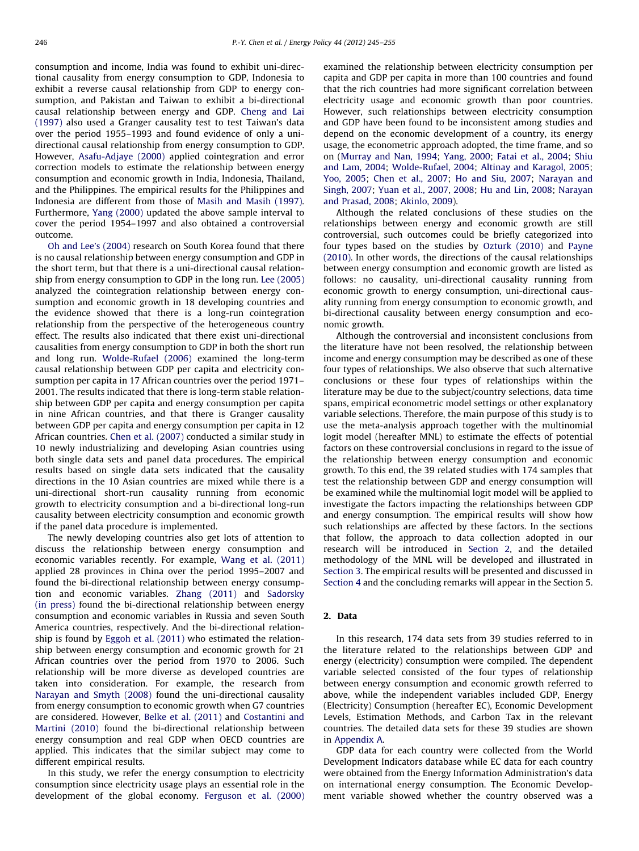consumption and income, India was found to exhibit uni-directional causality from energy consumption to GDP, Indonesia to exhibit a reverse causal relationship from GDP to energy consumption, and Pakistan and Taiwan to exhibit a bi-directional causal relationship between energy and GDP. [Cheng and Lai](#page--1-0) [\(1997\)](#page--1-0) also used a Granger causality test to test Taiwan's data over the period 1955–1993 and found evidence of only a unidirectional causal relationship from energy consumption to GDP. However, [Asafu-Adjaye \(2000\)](#page--1-0) applied cointegration and error correction models to estimate the relationship between energy consumption and economic growth in India, Indonesia, Thailand, and the Philippines. The empirical results for the Philippines and Indonesia are different from those of [Masih and Masih \(1997\).](#page--1-0) Furthermore, [Yang \(2000\)](#page--1-0) updated the above sample interval to cover the period 1954–1997 and also obtained a controversial outcome.

[Oh and Lee's \(2004\)](#page--1-0) research on South Korea found that there is no causal relationship between energy consumption and GDP in the short term, but that there is a uni-directional causal relationship from energy consumption to GDP in the long run. [Lee \(2005\)](#page--1-0) analyzed the cointegration relationship between energy consumption and economic growth in 18 developing countries and the evidence showed that there is a long-run cointegration relationship from the perspective of the heterogeneous country effect. The results also indicated that there exist uni-directional causalities from energy consumption to GDP in both the short run and long run. [Wolde-Rufael \(2006\)](#page--1-0) examined the long-term causal relationship between GDP per capita and electricity consumption per capita in 17 African countries over the period 1971– 2001. The results indicated that there is long-term stable relationship between GDP per capita and energy consumption per capita in nine African countries, and that there is Granger causality between GDP per capita and energy consumption per capita in 12 African countries. [Chen et al. \(2007\)](#page--1-0) conducted a similar study in 10 newly industrializing and developing Asian countries using both single data sets and panel data procedures. The empirical results based on single data sets indicated that the causality directions in the 10 Asian countries are mixed while there is a uni-directional short-run causality running from economic growth to electricity consumption and a bi-directional long-run causality between electricity consumption and economic growth if the panel data procedure is implemented.

The newly developing countries also get lots of attention to discuss the relationship between energy consumption and economic variables recently. For example, [Wang et al. \(2011\)](#page--1-0) applied 28 provinces in China over the period 1995–2007 and found the bi-directional relationship between energy consumption and economic variables. [Zhang \(2011\)](#page--1-0) and [Sadorsky](#page--1-0) [\(in press\)](#page--1-0) found the bi-directional relationship between energy consumption and economic variables in Russia and seven South America countries, respectively. And the bi-directional relationship is found by [Eggoh et al. \(2011\)](#page--1-0) who estimated the relationship between energy consumption and economic growth for 21 African countries over the period from 1970 to 2006. Such relationship will be more diverse as developed countries are taken into consideration. For example, the research from [Narayan and Smyth \(2008\)](#page--1-0) found the uni-directional causality from energy consumption to economic growth when G7 countries are considered. However, [Belke et al. \(2011\)](#page--1-0) and [Costantini and](#page--1-0) [Martini \(2010\)](#page--1-0) found the bi-directional relationship between energy consumption and real GDP when OECD countries are applied. This indicates that the similar subject may come to different empirical results.

In this study, we refer the energy consumption to electricity consumption since electricity usage plays an essential role in the development of the global economy. [Ferguson et al. \(2000\)](#page--1-0) examined the relationship between electricity consumption per capita and GDP per capita in more than 100 countries and found that the rich countries had more significant correlation between electricity usage and economic growth than poor countries. However, such relationships between electricity consumption and GDP have been found to be inconsistent among studies and depend on the economic development of a country, its energy usage, the econometric approach adopted, the time frame, and so on ([Murray and Nan, 1994;](#page--1-0) [Yang, 2000](#page--1-0); [Fatai et al., 2004;](#page--1-0) [Shiu](#page--1-0) [and Lam, 2004;](#page--1-0) [Wolde-Rufael, 2004](#page--1-0); [Altinay and Karagol, 2005;](#page--1-0) [Yoo, 2005](#page--1-0); [Chen et al., 2007;](#page--1-0) [Ho and Siu, 2007](#page--1-0); [Narayan and](#page--1-0) [Singh, 2007;](#page--1-0) [Yuan et al., 2007](#page--1-0), [2008](#page--1-0); [Hu and Lin, 2008;](#page--1-0) [Narayan](#page--1-0) [and Prasad, 2008;](#page--1-0) [Akinlo, 2009](#page--1-0)).

Although the related conclusions of these studies on the relationships between energy and economic growth are still controversial, such outcomes could be briefly categorized into four types based on the studies by [Ozturk \(2010\)](#page--1-0) and [Payne](#page--1-0) [\(2010\).](#page--1-0) In other words, the directions of the causal relationships between energy consumption and economic growth are listed as follows: no causality, uni-directional causality running from economic growth to energy consumption, uni-directional causality running from energy consumption to economic growth, and bi-directional causality between energy consumption and economic growth.

Although the controversial and inconsistent conclusions from the literature have not been resolved, the relationship between income and energy consumption may be described as one of these four types of relationships. We also observe that such alternative conclusions or these four types of relationships within the literature may be due to the subject/country selections, data time spans, empirical econometric model settings or other explanatory variable selections. Therefore, the main purpose of this study is to use the meta-analysis approach together with the multinomial logit model (hereafter MNL) to estimate the effects of potential factors on these controversial conclusions in regard to the issue of the relationship between energy consumption and economic growth. To this end, the 39 related studies with 174 samples that test the relationship between GDP and energy consumption will be examined while the multinomial logit model will be applied to investigate the factors impacting the relationships between GDP and energy consumption. The empirical results will show how such relationships are affected by these factors. In the sections that follow, the approach to data collection adopted in our research will be introduced in Section 2, and the detailed methodology of the MNL will be developed and illustrated in [Section 3](#page--1-0). The empirical results will be presented and discussed in [Section 4](#page--1-0) and the concluding remarks will appear in the Section 5.

#### 2. Data

In this research, 174 data sets from 39 studies referred to in the literature related to the relationships between GDP and energy (electricity) consumption were compiled. The dependent variable selected consisted of the four types of relationship between energy consumption and economic growth referred to above, while the independent variables included GDP, Energy (Electricity) Consumption (hereafter EC), Economic Development Levels, Estimation Methods, and Carbon Tax in the relevant countries. The detailed data sets for these 39 studies are shown in [Appendix A.](#page--1-0)

GDP data for each country were collected from the World Development Indicators database while EC data for each country were obtained from the Energy Information Administration's data on international energy consumption. The Economic Development variable showed whether the country observed was a